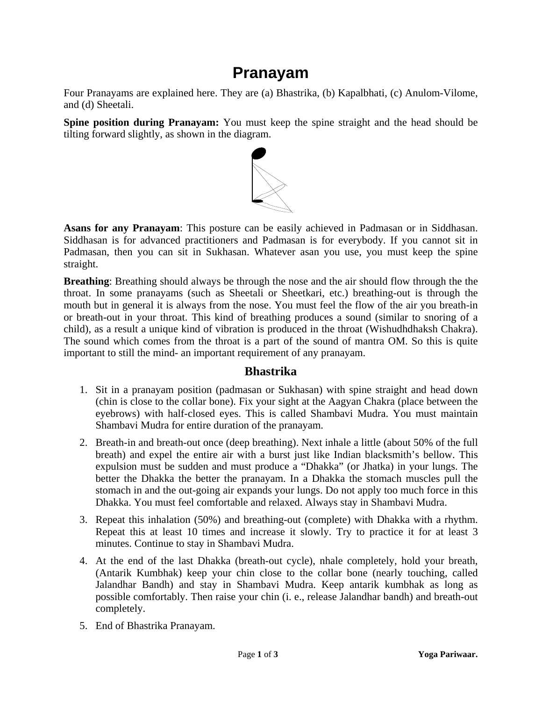# **Pranayam**

Four Pranayams are explained here. They are (a) Bhastrika, (b) Kapalbhati, (c) Anulom-Vilome, and (d) Sheetali.

**Spine position during Pranayam:** You must keep the spine straight and the head should be tilting forward slightly, as shown in the diagram.



**Asans for any Pranayam**: This posture can be easily achieved in Padmasan or in Siddhasan. Siddhasan is for advanced practitioners and Padmasan is for everybody. If you cannot sit in Padmasan, then you can sit in Sukhasan. Whatever asan you use, you must keep the spine straight.

**Breathing**: Breathing should always be through the nose and the air should flow through the the throat. In some pranayams (such as Sheetali or Sheetkari, etc.) breathing-out is through the mouth but in general it is always from the nose. You must feel the flow of the air you breath-in or breath-out in your throat. This kind of breathing produces a sound (similar to snoring of a child), as a result a unique kind of vibration is produced in the throat (Wishudhdhaksh Chakra). The sound which comes from the throat is a part of the sound of mantra OM. So this is quite important to still the mind- an important requirement of any pranayam.

# **Bhastrika**

- 1. Sit in a pranayam position (padmasan or Sukhasan) with spine straight and head down (chin is close to the collar bone). Fix your sight at the Aagyan Chakra (place between the eyebrows) with half-closed eyes. This is called Shambavi Mudra. You must maintain Shambavi Mudra for entire duration of the pranayam.
- 2. Breath-in and breath-out once (deep breathing). Next inhale a little (about 50% of the full breath) and expel the entire air with a burst just like Indian blacksmith's bellow. This expulsion must be sudden and must produce a "Dhakka" (or Jhatka) in your lungs. The better the Dhakka the better the pranayam. In a Dhakka the stomach muscles pull the stomach in and the out-going air expands your lungs. Do not apply too much force in this Dhakka. You must feel comfortable and relaxed. Always stay in Shambavi Mudra.
- 3. Repeat this inhalation (50%) and breathing-out (complete) with Dhakka with a rhythm. Repeat this at least 10 times and increase it slowly. Try to practice it for at least 3 minutes. Continue to stay in Shambavi Mudra.
- 4. At the end of the last Dhakka (breath-out cycle), nhale completely, hold your breath, (Antarik Kumbhak) keep your chin close to the collar bone (nearly touching, called Jalandhar Bandh) and stay in Shambavi Mudra. Keep antarik kumbhak as long as possible comfortably. Then raise your chin (i. e., release Jalandhar bandh) and breath-out completely.
- 5. End of Bhastrika Pranayam.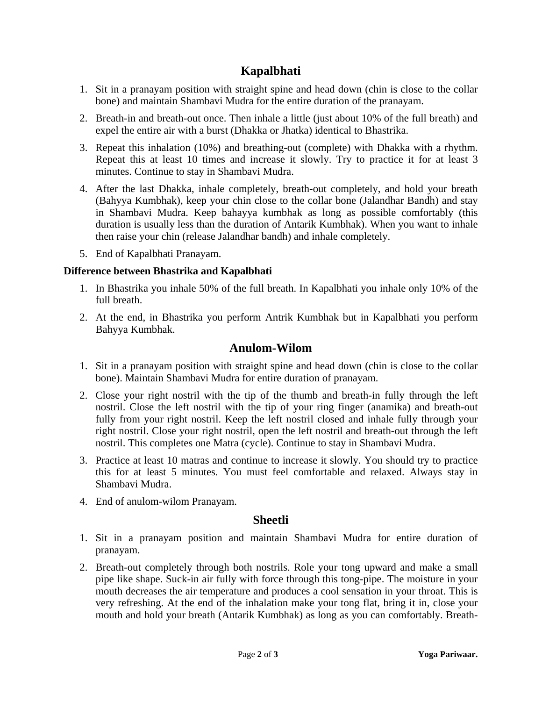# **Kapalbhati**

- 1. Sit in a pranayam position with straight spine and head down (chin is close to the collar bone) and maintain Shambavi Mudra for the entire duration of the pranayam.
- 2. Breath-in and breath-out once. Then inhale a little (just about 10% of the full breath) and expel the entire air with a burst (Dhakka or Jhatka) identical to Bhastrika.
- 3. Repeat this inhalation (10%) and breathing-out (complete) with Dhakka with a rhythm. Repeat this at least 10 times and increase it slowly. Try to practice it for at least 3 minutes. Continue to stay in Shambavi Mudra.
- 4. After the last Dhakka, inhale completely, breath-out completely, and hold your breath (Bahyya Kumbhak), keep your chin close to the collar bone (Jalandhar Bandh) and stay in Shambavi Mudra. Keep bahayya kumbhak as long as possible comfortably (this duration is usually less than the duration of Antarik Kumbhak). When you want to inhale then raise your chin (release Jalandhar bandh) and inhale completely.
- 5. End of Kapalbhati Pranayam.

#### **Difference between Bhastrika and Kapalbhati**

- 1. In Bhastrika you inhale 50% of the full breath. In Kapalbhati you inhale only 10% of the full breath.
- 2. At the end, in Bhastrika you perform Antrik Kumbhak but in Kapalbhati you perform Bahyya Kumbhak.

### **Anulom-Wilom**

- 1. Sit in a pranayam position with straight spine and head down (chin is close to the collar bone). Maintain Shambavi Mudra for entire duration of pranayam.
- 2. Close your right nostril with the tip of the thumb and breath-in fully through the left nostril. Close the left nostril with the tip of your ring finger (anamika) and breath-out fully from your right nostril. Keep the left nostril closed and inhale fully through your right nostril. Close your right nostril, open the left nostril and breath-out through the left nostril. This completes one Matra (cycle). Continue to stay in Shambavi Mudra.
- 3. Practice at least 10 matras and continue to increase it slowly. You should try to practice this for at least 5 minutes. You must feel comfortable and relaxed. Always stay in Shambavi Mudra.
- 4. End of anulom-wilom Pranayam.

## **Sheetli**

- 1. Sit in a pranayam position and maintain Shambavi Mudra for entire duration of pranayam.
- 2. Breath-out completely through both nostrils. Role your tong upward and make a small pipe like shape. Suck-in air fully with force through this tong-pipe. The moisture in your mouth decreases the air temperature and produces a cool sensation in your throat. This is very refreshing. At the end of the inhalation make your tong flat, bring it in, close your mouth and hold your breath (Antarik Kumbhak) as long as you can comfortably. Breath-